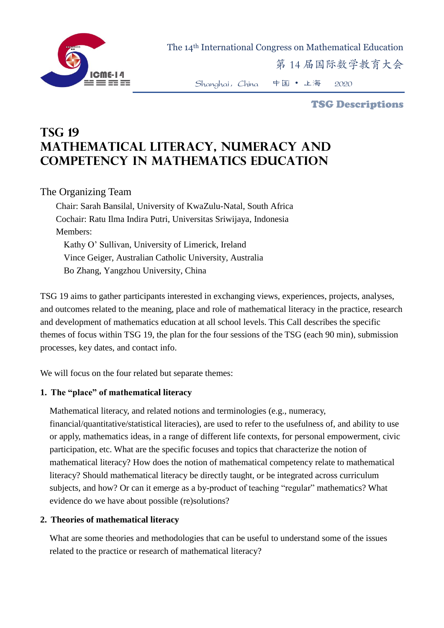

The 14th International Congress on Mathematical Education

第 14 届国际数学教育大会

Shanghai,China 中国 • 上海 2020

TSG Descriptions

# **TSG 19 Mathematical literacy, numeracy and competency in mathematics education**

The Organizing Team

Chair: Sarah Bansilal, University of KwaZulu-Natal, South Africa Cochair: Ratu Ilma Indira Putri, Universitas Sriwijaya, Indonesia Members: Kathy O' Sullivan, University of Limerick, Ireland Vince Geiger, Australian Catholic University, Australia Bo Zhang, Yangzhou University, China

TSG 19 aims to gather participants interested in exchanging views, experiences, projects, analyses, and outcomes related to the meaning, place and role of mathematical literacy in the practice, research and development of mathematics education at all school levels. This Call describes the specific themes of focus within TSG 19, the plan for the four sessions of the TSG (each 90 min), submission processes, key dates, and contact info.

We will focus on the four related but separate themes:

## **1. The "place" of mathematical literacy**

Mathematical literacy, and related notions and terminologies (e.g., numeracy, financial/quantitative/statistical literacies), are used to refer to the usefulness of, and ability to use or apply, mathematics ideas, in a range of different life contexts, for personal empowerment, civic participation, etc. What are the specific focuses and topics that characterize the notion of mathematical literacy? How does the notion of mathematical competency relate to mathematical literacy? Should mathematical literacy be directly taught, or be integrated across curriculum subjects, and how? Or can it emerge as a by-product of teaching "regular" mathematics? What evidence do we have about possible (re)solutions?

## **2. Theories of mathematical literacy**

What are some theories and methodologies that can be useful to understand some of the issues related to the practice or research of mathematical literacy?